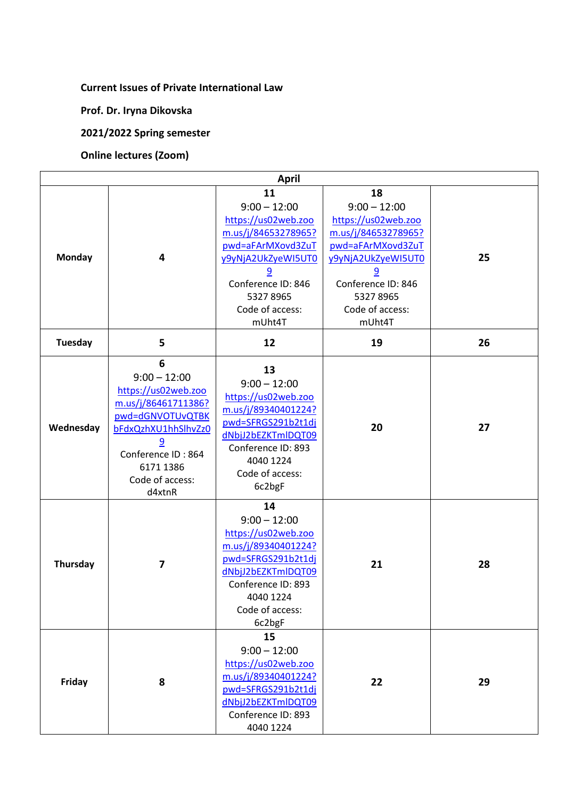## **Current Issues of Private International Law**

**Prof. Dr. Iryna Dikovska**

**2021/2022 Spring semester**

## **Online lectures (Zoom)**

|                | <b>April</b>                                                                                                                                                                      |                                                                                                                                                                                                |                                                                                                                                                                                                |    |  |  |
|----------------|-----------------------------------------------------------------------------------------------------------------------------------------------------------------------------------|------------------------------------------------------------------------------------------------------------------------------------------------------------------------------------------------|------------------------------------------------------------------------------------------------------------------------------------------------------------------------------------------------|----|--|--|
| Monday         | 4                                                                                                                                                                                 | 11<br>$9:00 - 12:00$<br>https://us02web.zoo<br>m.us/j/84653278965?<br>pwd=aFArMXovd3ZuT<br>y9yNjA2UkZyeWI5UT0<br>$\overline{9}$<br>Conference ID: 846<br>53278965<br>Code of access:<br>mUht4T | 18<br>$9:00 - 12:00$<br>https://us02web.zoo<br>m.us/j/84653278965?<br>pwd=aFArMXovd3ZuT<br>y9yNjA2UkZyeWI5UT0<br>$\overline{9}$<br>Conference ID: 846<br>53278965<br>Code of access:<br>mUht4T | 25 |  |  |
| <b>Tuesday</b> | 5                                                                                                                                                                                 | 12                                                                                                                                                                                             | 19                                                                                                                                                                                             | 26 |  |  |
| Wednesday      | 6<br>$9:00 - 12:00$<br>https://us02web.zoo<br>m.us/j/86461711386?<br>pwd=dGNVOTUvQTBK<br>bFdxQzhXU1hhSlhvZz0<br>9<br>Conference ID: 864<br>6171 1386<br>Code of access:<br>d4xtnR | 13<br>$9:00 - 12:00$<br>https://us02web.zoo<br>m.us/j/89340401224?<br>pwd=SFRGS291b2t1dj<br>dNbjJ2bEZKTmlDQT09<br>Conference ID: 893<br>4040 1224<br>Code of access:<br>6c2bgF                 | 20                                                                                                                                                                                             | 27 |  |  |
| Thursday       | 7                                                                                                                                                                                 | 14<br>$9:00 - 12:00$<br>https://us02web.zoo<br>m.us/j/89340401224?<br>pwd=SFRGS291b2t1dj<br>dNbjJ2bEZKTmlDQT09<br>Conference ID: 893<br>4040 1224<br>Code of access:<br>6c2bgF                 | 21                                                                                                                                                                                             | 28 |  |  |
| Friday         | 8                                                                                                                                                                                 | 15<br>$9:00 - 12:00$<br>https://us02web.zoo<br>m.us/j/89340401224?<br>pwd=SFRGS291b2t1dj<br>dNbjJ2bEZKTmlDQT09<br>Conference ID: 893<br>4040 1224                                              | 22                                                                                                                                                                                             | 29 |  |  |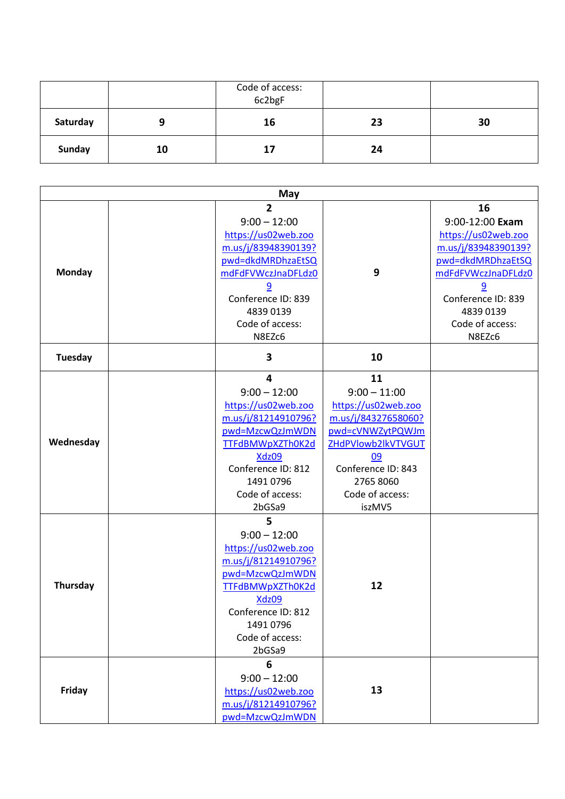|          |    | Code of access:<br>6c2bgF |    |    |
|----------|----|---------------------------|----|----|
| Saturday | α  | 16                        | 23 | 30 |
| Sunday   | 10 | 17                        | 24 |    |

| May       |  |                                                                                                                                                                                                |                                                                                                                                                                                    |                                                                                                                                                                                                  |
|-----------|--|------------------------------------------------------------------------------------------------------------------------------------------------------------------------------------------------|------------------------------------------------------------------------------------------------------------------------------------------------------------------------------------|--------------------------------------------------------------------------------------------------------------------------------------------------------------------------------------------------|
| Monday    |  | $\overline{2}$<br>$9:00 - 12:00$<br>https://us02web.zoo<br>m.us/j/83948390139?<br>pwd=dkdMRDhzaEtSQ<br>mdFdFVWczJnaDFLdz0<br>9<br>Conference ID: 839<br>4839 0139<br>Code of access:<br>N8EZc6 | 9                                                                                                                                                                                  | 16<br>9:00-12:00 Exam<br>https://us02web.zoo<br>m.us/j/83948390139?<br>pwd=dkdMRDhzaEtSQ<br>mdFdFVWczJnaDFLdz0<br>$\overline{9}$<br>Conference ID: 839<br>4839 0139<br>Code of access:<br>N8EZc6 |
| Tuesday   |  | 3                                                                                                                                                                                              | 10                                                                                                                                                                                 |                                                                                                                                                                                                  |
| Wednesday |  | $\overline{4}$<br>$9:00 - 12:00$<br>https://us02web.zoo<br>m.us/j/81214910796?<br>pwd=MzcwQzJmWDN<br>TTFdBMWpXZTh0K2d<br>Xdz09<br>Conference ID: 812<br>1491 0796<br>Code of access:<br>2bGSa9 | 11<br>$9:00 - 11:00$<br>https://us02web.zoo<br>m.us/j/84327658060?<br>pwd=cVNWZytPQWJm<br>ZHdPVlowb2lkVTVGUT<br>09<br>Conference ID: 843<br>2765 8060<br>Code of access:<br>iszMV5 |                                                                                                                                                                                                  |
| Thursday  |  | 5<br>$9:00 - 12:00$<br>https://us02web.zoo<br>m.us/j/81214910796?<br>pwd=MzcwQzJmWDN<br>TTFdBMWpXZTh0K2d<br><b>Xdz09</b><br>Conference ID: 812<br>1491 0796<br>Code of access:<br>2bGSa9       | 12                                                                                                                                                                                 |                                                                                                                                                                                                  |
| Friday    |  | 6<br>$9:00 - 12:00$<br>https://us02web.zoo<br>m.us/j/81214910796?<br>pwd=MzcwQzJmWDN                                                                                                           | 13                                                                                                                                                                                 |                                                                                                                                                                                                  |